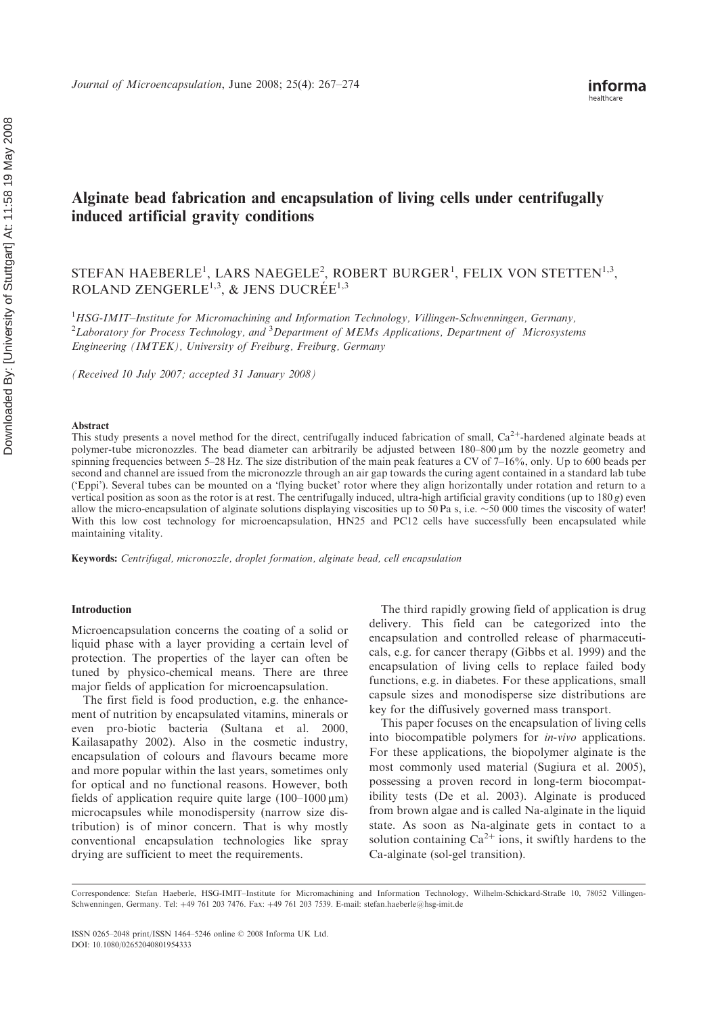# Alginate bead fabrication and encapsulation of living cells under centrifugally induced artificial gravity conditions

# STEFAN HAEBERLE<sup>1</sup>, LARS NAEGELE<sup>2</sup>, ROBERT BURGER<sup>1</sup>, FELIX VON STETTEN<sup>1,3</sup>, ROLAND ZENGERLE<sup>1,3</sup>, & JENS DUCRÉE<sup>1,3</sup>

<sup>1</sup>HSG-IMIT-Institute for Micromachining and Information Technology, Villingen-Schwenningen, Germany, <sup>2</sup>Laboratory for Process Technology, and <sup>3</sup>Department of MEMs Applications, Department of Microsystems Engineering (IMTEK), University of Freiburg, Freiburg, Germany

(Received 10 July 2007; accepted 31 January 2008)

#### Abstract

This study presents a novel method for the direct, centrifugally induced fabrication of small,  $Ca^{2+}$ -hardened alginate beads at polymer-tube micronozzles. The bead diameter can arbitrarily be adjusted between 180–800  $\mu$ m by the nozzle geometry and spinning frequencies between 5–28 Hz. The size distribution of the main peak features a CV of  $7-16\%$ , only. Up to 600 beads per second and channel are issued from the micronozzle through an air gap towards the curing agent contained in a standard lab tube ('Eppi'). Several tubes can be mounted on a 'flying bucket' rotor where they align horizontally under rotation and return to a vertical position as soon as the rotor is at rest. The centrifugally induced, ultra-high artificial gravity conditions (up to  $180 g$ ) even allow the micro-encapsulation of alginate solutions displaying viscosities up to 50 Pa s, i.e.  $\sim$  50 000 times the viscosity of water! With this low cost technology for microencapsulation, HN25 and PC12 cells have successfully been encapsulated while maintaining vitality.

Keywords: Centrifugal, micronozzle, droplet formation, alginate bead, cell encapsulation

## Introduction

Microencapsulation concerns the coating of a solid or liquid phase with a layer providing a certain level of protection. The properties of the layer can often be tuned by physico-chemical means. There are three major fields of application for microencapsulation.

The first field is food production, e.g. the enhancement of nutrition by encapsulated vitamins, minerals or even pro-biotic bacteria (Sultana et al. 2000, Kailasapathy 2002). Also in the cosmetic industry, encapsulation of colours and flavours became more and more popular within the last years, sometimes only for optical and no functional reasons. However, both fields of application require quite large  $(100-1000 \,\mu m)$ microcapsules while monodispersity (narrow size distribution) is of minor concern. That is why mostly conventional encapsulation technologies like spray drying are sufficient to meet the requirements.

The third rapidly growing field of application is drug delivery. This field can be categorized into the encapsulation and controlled release of pharmaceuticals, e.g. for cancer therapy (Gibbs et al. 1999) and the encapsulation of living cells to replace failed body functions, e.g. in diabetes. For these applications, small capsule sizes and monodisperse size distributions are key for the diffusively governed mass transport.

This paper focuses on the encapsulation of living cells into biocompatible polymers for in-vivo applications. For these applications, the biopolymer alginate is the most commonly used material (Sugiura et al. 2005), possessing a proven record in long-term biocompatibility tests (De et al. 2003). Alginate is produced from brown algae and is called Na-alginate in the liquid state. As soon as Na-alginate gets in contact to a solution containing  $Ca^{2+}$  ions, it swiftly hardens to the Ca-alginate (sol-gel transition).

Correspondence: Stefan Haeberle, HSG-IMIT–Institute for Micromachining and Information Technology, Wilhelm-Schickard-Straße 10, 78052 Villingen-Schwenningen, Germany. Tel: +49 761 203 7476. Fax: +49 761 203 7539. E-mail: stefan.haeberle@hsg-imit.de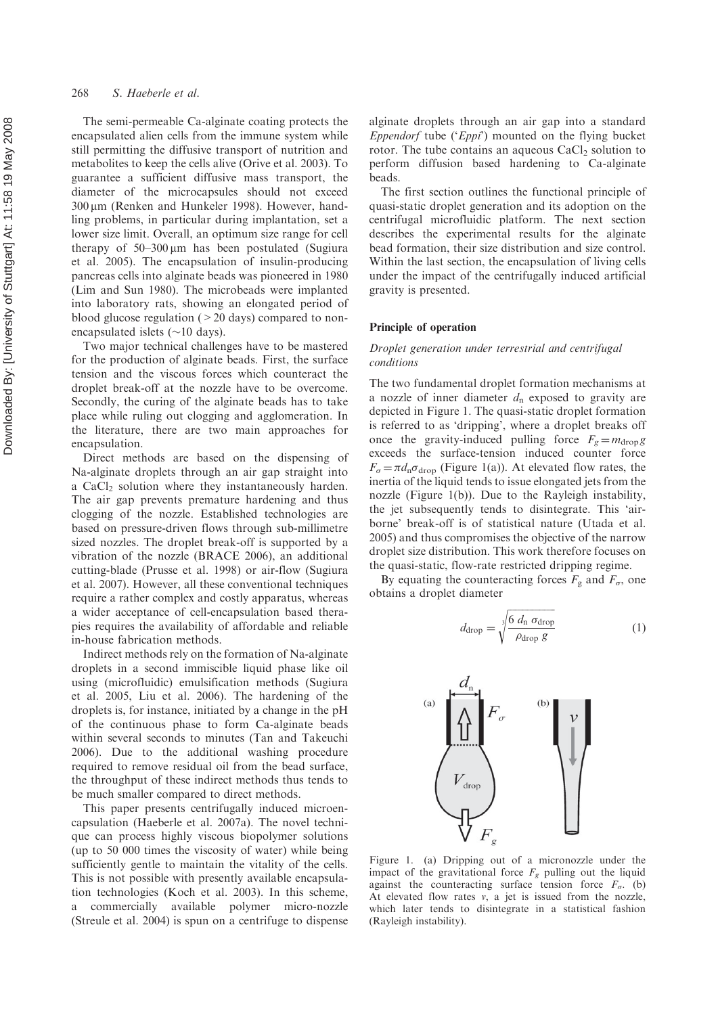The semi-permeable Ca-alginate coating protects the encapsulated alien cells from the immune system while still permitting the diffusive transport of nutrition and metabolites to keep the cells alive (Orive et al. 2003). To guarantee a sufficient diffusive mass transport, the diameter of the microcapsules should not exceed 300 mm (Renken and Hunkeler 1998). However, handling problems, in particular during implantation, set a lower size limit. Overall, an optimum size range for cell therapy of 50–300 mm has been postulated (Sugiura et al. 2005). The encapsulation of insulin-producing pancreas cells into alginate beads was pioneered in 1980 (Lim and Sun 1980). The microbeads were implanted into laboratory rats, showing an elongated period of blood glucose regulation  $(>20 \text{ days})$  compared to nonencapsulated islets  $(\sim 10 \text{ days})$ .

Two major technical challenges have to be mastered for the production of alginate beads. First, the surface tension and the viscous forces which counteract the droplet break-off at the nozzle have to be overcome. Secondly, the curing of the alginate beads has to take place while ruling out clogging and agglomeration. In the literature, there are two main approaches for encapsulation.

Direct methods are based on the dispensing of Na-alginate droplets through an air gap straight into a CaCl <sup>2</sup> solution where they instantaneously harden. The air gap prevents premature hardening and thus clogging of the nozzle. Established technologies are based on pressure-driven flows through sub-millimetre sized nozzles. The droplet break-off is supported by a vibration of the nozzle (BRACE 2006), an additional cutting-blade (Prusse et al. 1998) or air-flow (Sugiura et al. 2007). However, all these conventional techniques require a rather complex and costly apparatus, whereas a wider acceptance of cell-encapsulation based therapies requires the availability of affordable and reliable in-house fabrication methods.

Indirect methods rely on the formation of Na-alginate droplets in a second immiscible liquid phase like oil using (microfluidic) emulsification methods (Sugiura et al. 2005, Liu et al. 2006). The hardening of the droplets is, for instance, initiated by a change in the pH of the continuous phase to form Ca-alginate beads within several seconds to minutes (Tan and Takeuchi 2006). Due to the additional washing procedure required to remove residual oil from the bead surface, the throughput of these indirect methods thus tends to be much smaller compared to direct methods.

This paper presents centrifugally induced microencapsulation (Haeberle et al. 2007a). The novel technique can process highly viscous biopolymer solutions (up to 50 000 times the viscosity of water) while being sufficiently gentle to maintain the vitality of the cells. This is not possible with presently available encapsulation technologies (Koch et al. 2003). In this scheme, a commercially available polymer micro-nozzle (Streule et al. 2004) is spun on a centrifuge to dispense alginate droplets through an air gap into a standard Eppendorf tube ('Eppi') mounted on the flying bucket rotor. The tube contains an aqueous CaCl <sup>2</sup> solution to perform diffusion based hardening to Ca-alginate beads.

The first section outlines the functional principle of quasi-static droplet generation and its adoption on the centrifugal microfluidic platform. The next section describes the experimental results for the alginate bead formation, their size distribution and size control. Within the last section, the encapsulation of living cells under the impact of the centrifugally induced artificial gravity is presented.

### Principle of operation

# Droplet generation under terrestrial and centrifugal conditions

The two fundamental droplet formation mechanisms at a nozzle of inner diameter  $d_n$  exposed to gravity are depicted in Figure 1. The quasi-static droplet formation is referred to as 'dripping', where a droplet breaks off once the gravity-induced pulling force  $F_g = m_{\text{drop}}g$ exceeds the surface-tension induced counter force  $F_{\sigma} = \pi d_{\text{n}} \sigma_{\text{drop}}$  (Figure 1(a)). At elevated flow rates, the inertia of the liquid tends to issue elongated jets from the nozzle (Figure 1(b)). Due to the Rayleigh instability, the jet subsequently tends to disintegrate. This 'airborne' break-off is of statistical nature (Utada et al. 2005) and thus compromises the objective of the narrow droplet size distribution. This work therefore focuses on the quasi-static, flow-rate restricted dripping regime.

By equating the counteracting forces  $F<sub>g</sub>$  and  $F<sub>\sigma</sub>$ , one obtains a droplet diameter

$$
d_{\rm drop} = \sqrt[3]{\frac{6 \ d_{\rm n} \ \sigma_{\rm drop}}{\rho_{\rm drop} \ g}} \tag{1}
$$



Figure 1. (a) Dripping out of a micronozzle under the impact of the gravitational force  $F<sub>g</sub>$  pulling out the liquid against the counteracting surface tension force  $F_{\sigma}$ . (b) At elevated flow rates  $v$ , a jet is issued from the nozzle, which later tends to disintegrate in a statistical fashion (Rayleigh instability).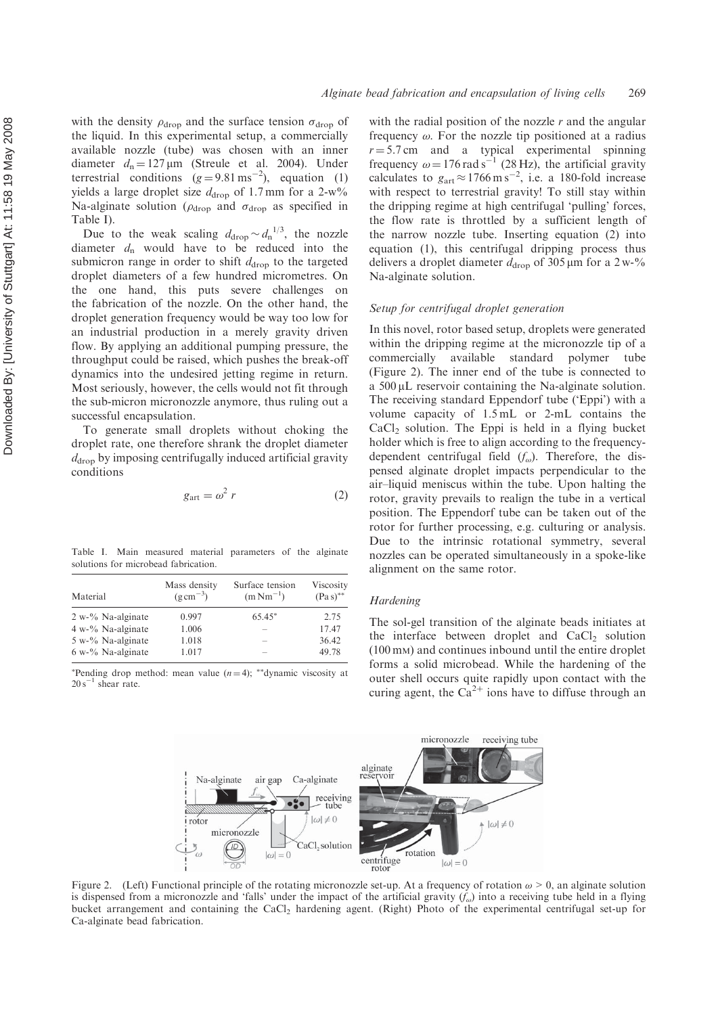with the density  $\rho_{drop}$  and the surface tension  $\sigma_{drop}$  of the liquid. In this experimental setup, a commercially available nozzle (tube) was chosen with an inner diameter  $d_n = 127 \,\mu\text{m}$  (Streule et al. 2004). Under terrestrial conditions  $(g=9.81 \text{ ms}^{-2})$ , equation (1) yields a large droplet size  $d_{drop}$  of 1.7 mm for a 2-w% Na-alginate solution ( $\rho_{drop}$  and  $\sigma_{drop}$  as specified in Table I).

Due to the weak scaling  $d_{\text{drop}} \sim d_n^{1/3}$ , the nozzle diameter  $d_n$  would have to be reduced into the submicron range in order to shift  $d_{\text{drop}}$  to the targeted droplet diameters of a few hundred micrometres. On the one hand, this puts severe challenges on the fabrication of the nozzle. On the other hand, the droplet generation frequency would be way too low for an industrial production in a merely gravity driven flow. By applying an additional pumping pressure, the throughput could be raised, which pushes the break-off dynamics into the undesired jetting regime in return. Most seriously, however, the cells would not fit through the sub-micron micronozzle anymore, thus ruling out a successful encapsulation.

To generate small droplets without choking the droplet rate, one therefore shrank the droplet diameter  $d_{\text{drop}}$  by imposing centrifugally induced artificial gravity conditions

$$
g_{\text{art}} = \omega^2 r \tag{2}
$$

Table I. Main measured material parameters of the alginate solutions for microbead fabrication.

| Material             | Mass density<br>$(g \text{ cm}^{-3})$ | Surface tension<br>$(m Nm^{-1})$ | Viscosity<br>$(Pa s)$ ** |
|----------------------|---------------------------------------|----------------------------------|--------------------------|
| $2 w$ -% Na-alginate | 0.997                                 | $65.45*$                         | 2.75                     |
| $4 w2$ % Na-alginate | 1.006                                 |                                  | 17.47                    |
| $5 w0$ % Na-alginate | 1.018                                 |                                  | 36.42                    |
| $6 w2$ % Na-alginate | 1.017                                 | -                                | 49.78                    |

\*Pending drop method: mean value  $(n=4)$ ; \*\*dynamic viscosity at  $20 s^{-1}$  shear rate.

with the radial position of the nozzle  $r$  and the angular frequency  $\omega$ . For the nozzle tip positioned at a radius  $r = 5.7 \text{ cm}$  and a typical experimental spinning frequency  $\omega = 176 \text{ rad s}^{-1}$  (28 Hz), the artificial gravity calculates to  $g_{\text{art}} \approx 1766 \text{ m s}^{-2}$ , i.e. a 180-fold increase with respect to terrestrial gravity! To still stay within the dripping regime at high centrifugal 'pulling' forces, the flow rate is throttled by a sufficient length of the narrow nozzle tube. Inserting equation (2) into equation (1), this centrifugal dripping process thus delivers a droplet diameter  $d_{\text{drop}}$  of 305 µm for a 2 w-% Na-alginate solution.

# Setup for centrifugal droplet generation

In this novel, rotor based setup, droplets were generated within the dripping regime at the micronozzle tip of a commercially available standard polymer tube (Figure 2). The inner end of the tube is connected to a 500 µL reservoir containing the Na-alginate solution. The receiving standard Eppendorf tube ('Eppi') with a volume capacity of 1.5 mL or 2-mL contains the CaCl <sup>2</sup> solution. The Eppi is held in a flying bucket holder which is free to align according to the frequencydependent centrifugal field  $(f_{\omega})$ . Therefore, the dispensed alginate droplet impacts perpendicular to the air–liquid meniscus within the tube. Upon halting the rotor, gravity prevails to realign the tube in a vertical position. The Eppendorf tube can be taken out of the rotor for further processing, e.g. culturing or analysis. Due to the intrinsic rotational symmetry, several nozzles can be operated simultaneously in a spoke-like alignment on the same rotor.

#### Hardening

The sol-gel transition of the alginate beads initiates at the interface between droplet and  $CaCl<sub>2</sub>$  solution (100 m M) and continues inbound until the entire droplet forms a solid microbead. While the hardening of the outer shell occurs quite rapidly upon contact with the curing agent, the  $Ca^{2+}$  ions have to diffuse through an



Figure 2. (Left) Functional principle of the rotating micronozzle set-up. At a frequency of rotation  $\omega > 0$ , an alginate solution is dispensed from a micronozzle and 'falls' under the impact of the artificial gravity  $(f_{\omega})$  into a receiving tube held in a flying bucket arrangement and containing the CaCl <sup>2</sup> hardening agent. (Right) Photo of the experimental centrifugal set-up for Ca-alginate bead fabrication.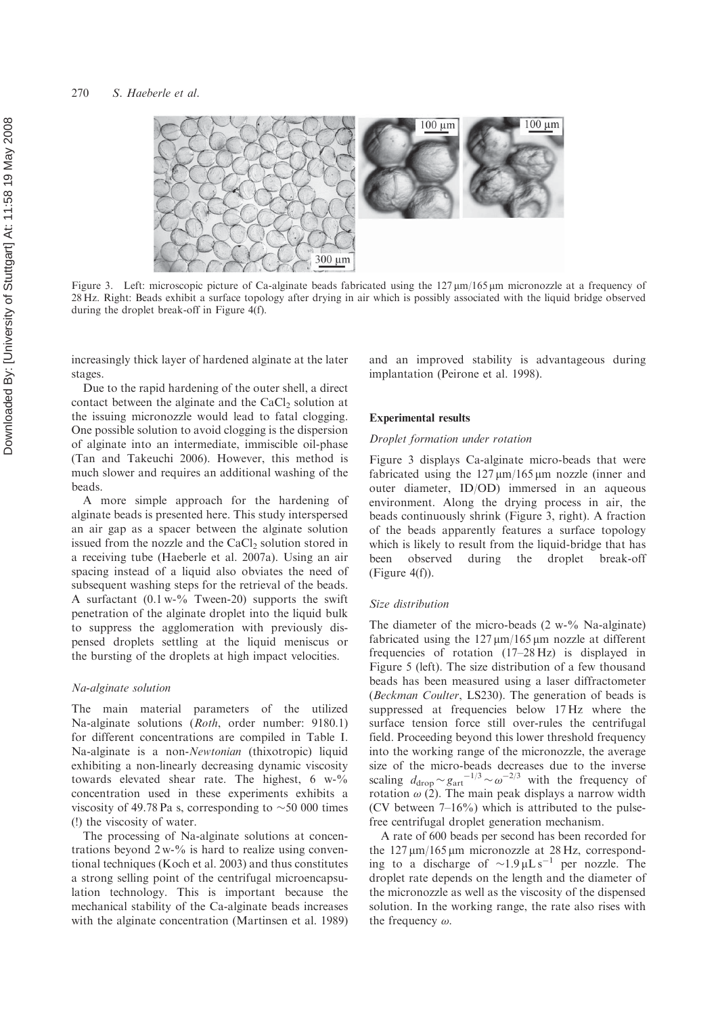

Figure 3. Left: microscopic picture of Ca-alginate beads fabricated using the 127  $\mu$ m/165  $\mu$ m micronozzle at a frequency of 28 Hz. Right: Beads exhibit a surface topology after drying in air which is possibly associated with the liquid bridge observed during the droplet break-off in Figure 4(f).

increasingly thick layer of hardened alginate at the later stages.

Due to the rapid hardening of the outer shell, a direct contact between the alginate and the CaCl <sup>2</sup> solution at the issuing micronozzle would lead to fatal clogging. One possible solution to avoid clogging is the dispersion of alginate into an intermediate, immiscible oil-phase (Tan and Takeuchi 2006). However, this method is much slower and requires an additional washing of the beads.

A more simple approach for the hardening of alginate beads is presented here. This study interspersed an air gap as a spacer between the alginate solution issued from the nozzle and the CaCl <sup>2</sup> solution stored in a receiving tube (Haeberle et al. 2007a). Using an air spacing instead of a liquid also obviates the need of subsequent washing steps for the retrieval of the beads. A surfactant  $(0.1 \text{ w-} \%)$  Tween-20) supports the swift penetration of the alginate droplet into the liquid bulk to suppress the agglomeration with previously dispensed droplets settling at the liquid meniscus or the bursting of the droplets at high impact velocities.

### Na-alginate solution

The main material parameters of the utilized Na-alginate solutions (Roth, order number: 9180.1) for different concentrations are compiled in Table I. Na-alginate is a non-Newtonian (thixotropic) liquid exhibiting a non-linearly decreasing dynamic viscosity towards elevated shear rate. The highest, 6 w-% concentration used in these experiments exhibits a viscosity of 49.78 Pa s, corresponding to  $\sim$  50 000 times (!) the viscosity of water.

The processing of Na-alginate solutions at concentrations beyond  $2 w<sub>0</sub>$ % is hard to realize using conventional techniques (Koch et al. 2003) and thus constitutes a strong selling point of the centrifugal microencapsulation technology. This is important because the mechanical stability of the Ca-alginate beads increases with the alginate concentration (Martinsen et al. 1989)

and an improved stability is advantageous during implantation (Peirone et al. 1998).

#### Experimental results

#### Droplet formation under rotation

Figure 3 displays Ca-alginate micro-beads that were fabricated using the  $127 \mu m/165 \mu m$  nozzle (inner and outer diameter, ID/OD) immersed in an aqueous environment. Along the drying process in air, the beads continuously shrink (Figure 3, right). A fraction of the beads apparently features a surface topology which is likely to result from the liquid-bridge that has been observed during the droplet break-off (Figure 4(f)).

## Size distribution

The diameter of the micro-beads  $(2 \text{ w-}\% \text{ Na-alginate})$ fabricated using the  $127 \mu m/165 \mu m$  nozzle at different frequencies of rotation (17–28 Hz) is displayed in Figure 5 (left). The size distribution of a few thousand beads has been measured using a laser diffractometer (Beckman Coulter, LS230). The generation of beads is suppressed at frequencies below 17 Hz where the surface tension force still over-rules the centrifugal field. Proceeding beyond this lower threshold frequency into the working range of the micronozzle, the average size of the micro-beads decreases due to the inverse scaling  $d_{\text{drop}} \sim g_{\text{art}}^{-1/3} \sim \omega^{-2/3}$  with the frequency of rotation  $\omega$  (2). The main peak displays a narrow width (CV between  $7-16\%$ ) which is attributed to the pulsefree centrifugal droplet generation mechanism.

A rate of 600 beads per second has been recorded for the  $127 \mu m/165 \mu m$  micronozzle at 28 Hz, corresponding to a discharge of  $\sim 1.9 \mu L s^{-1}$  per nozzle. The droplet rate depends on the length and the diameter of the micronozzle as well as the viscosity of the dispensed solution. In the working range, the rate also rises with the frequency  $\omega$ .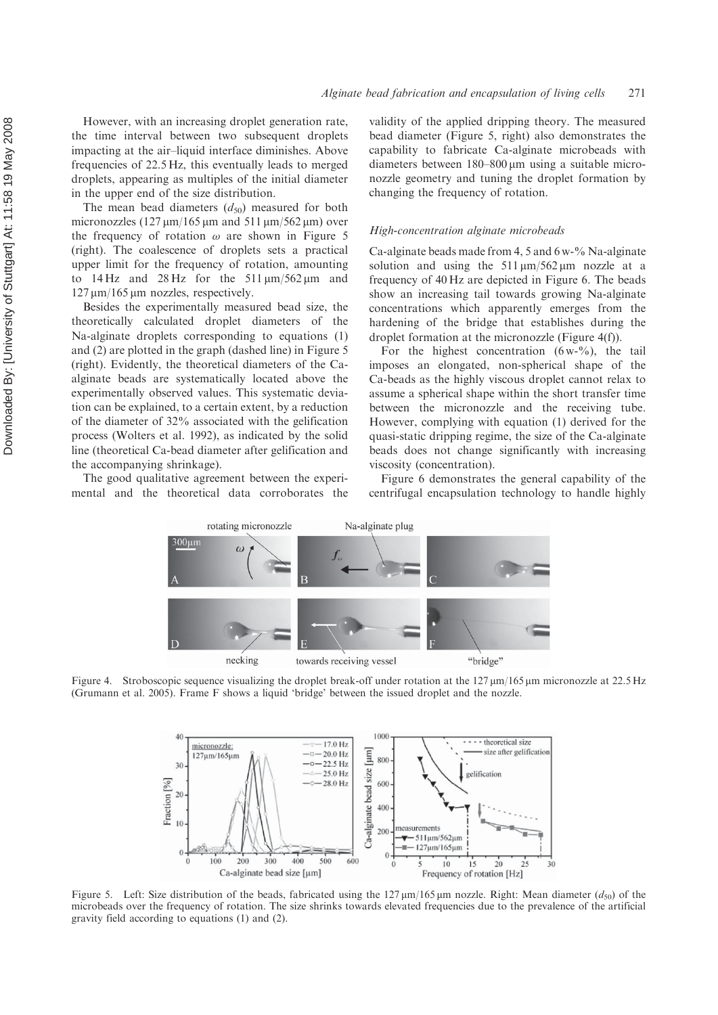However, with an increasing droplet generation rate, the time interval between two subsequent droplets impacting at the air–liquid interface diminishes. Above frequencies of 22.5 Hz, this eventually leads to merged droplets, appearing as multiples of the initial diameter in the upper end of the size distribution.

The mean bead diameters  $(d_{50})$  measured for both micronozzles  $(127 \,\mu\text{m}/165 \,\mu\text{m}$  and  $511 \,\mu\text{m}/562 \,\mu\text{m})$  over the frequency of rotation  $\omega$  are shown in Figure 5 (right). The coalescence of droplets sets a practical upper limit for the frequency of rotation, amounting to  $14 \text{ Hz}$  and  $28 \text{ Hz}$  for the  $511 \mu \text{m}/562 \mu \text{m}$  and 127 mm/165 mm nozzles, respectively.

Besides the experimentally measured bead size, the theoretically calculated droplet diameters of the Na-alginate droplets corresponding to equations (1) and (2) are plotted in the graph (dashed line) in Figure 5 (right). Evidently, the theoretical diameters of the Caalginate beads are systematically located above the experimentally observed values. This systematic deviation can be explained, to a certain extent, by a reduction of the diameter of 32% associated with the gelification process (Wolters et al. 1992), as indicated by the solid line (theoretical Ca-bead diameter after gelification and the accompanying shrinkage).

The good qualitative agreement between the experimental and the theoretical data corroborates the

validity of the applied dripping theory. The measured bead diameter (Figure 5, right) also demonstrates the capability to fabricate Ca-alginate microbeads with diameters between 180–800 µm using a suitable micronozzle geometry and tuning the droplet formation by changing the frequency of rotation.

## High-concentration alginate microbeads

Ca-alginate beads made from 4, 5 and 6 w-% Na-alginate solution and using the  $511 \mu m/562 \mu m$  nozzle at a frequency of 40 Hz are depicted in Figure 6. The beads show an increasing tail towards growing Na-alginate concentrations which apparently emerges from the hardening of the bridge that establishes during the droplet formation at the micronozzle (Figure 4(f)).

For the highest concentration  $(6 w<sup>9</sup>/6)$ , the tail imposes an elongated, non-spherical shape of the Ca-beads as the highly viscous droplet cannot relax to assume a spherical shape within the short transfer time between the micronozzle and the receiving tube. However, complying with equation (1) derived for the quasi-static dripping regime, the size of the Ca-alginate beads does not change significantly with increasing viscosity (concentration).

Figure 6 demonstrates the general capability of the centrifugal encapsulation technology to handle highly



Figure 4. Stroboscopic sequence visualizing the droplet break-off under rotation at the  $127 \,\mu\text{m}/165 \,\mu\text{m}$  micronozzle at 22.5 Hz (Grumann et al. 2005). Frame F shows a liquid 'bridge' between the issued droplet and the nozzle.



Figure 5. Left: Size distribution of the beads, fabricated using the  $127 \mu m/165 \mu m$  nozzle. Right: Mean diameter ( $d_{50}$ ) of the microbeads over the frequency of rotation. The size shrinks towards elevated frequencies due to the prevalence of the artificial gravity field according to equations (1) and (2).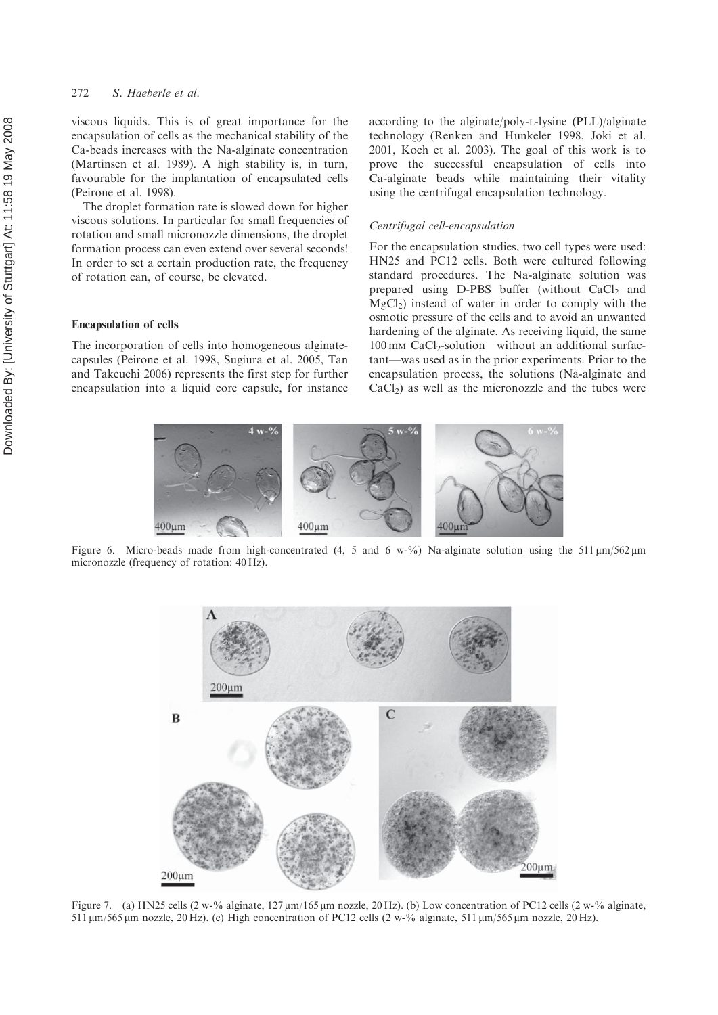# 272 S. Haeberle et al.

viscous liquids. This is of great importance for the encapsulation of cells as the mechanical stability of the Ca-beads increases with the Na-alginate concentration (Martinsen et al. 1989). A high stability is, in turn, favourable for the implantation of encapsulated cells (Peirone et al. 1998).

The droplet formation rate is slowed down for higher viscous solutions. In particular for small frequencies of rotation and small micronozzle dimensions, the droplet formation process can even extend over several seconds! In order to set a certain production rate, the frequency of rotation can, of course, be elevated.

### Encapsulation of cells

The incorporation of cells into homogeneous alginatecapsules (Peirone et al. 1998, Sugiura et al. 2005, Tan and Takeuchi 2006) represents the first step for further encapsulation into a liquid core capsule, for instance

according to the alginate/poly-L-lysine (PLL)/alginate technology (Renken and Hunkeler 1998, Joki et al. 2001, Koch et al. 2003). The goal of this work is to prove the successful encapsulation of cells into Ca-alginate beads while maintaining their vitality using the centrifugal encapsulation technology.

#### Centrifugal cell-encapsulation

For the encapsulation studies, two cell types were used: HN25 and PC12 cells. Both were cultured following standard procedures. The Na-alginate solution was prepared using D-PBS buffer (without CaCl <sup>2</sup> and MgCl 2) instead of water in order to comply with the osmotic pressure of the cells and to avoid an unwanted hardening of the alginate. As receiving liquid, the same 100 m <sup>M</sup> CaCl 2-solution—without an additional surfactant—was used as in the prior experiments. Prior to the encapsulation process, the solutions (Na-alginate and  $CaCl<sub>2</sub>$ ) as well as the micronozzle and the tubes were



Figure 6. Micro-beads made from high-concentrated (4, 5 and 6 w-%) Na-alginate solution using the 511  $\mu$ m/562  $\mu$ m micronozzle (frequency of rotation: 40 Hz).



Figure 7. (a) HN25 cells (2 w-% alginate,  $127 \mu m/165 \mu m$  nozzle, 20 Hz). (b) Low concentration of PC12 cells (2 w-% alginate, 511  $\mu$ m/565  $\mu$ m nozzle, 20 Hz). (c) High concentration of PC12 cells (2 w-% alginate, 511  $\mu$ m/565  $\mu$ m nozzle, 20 Hz).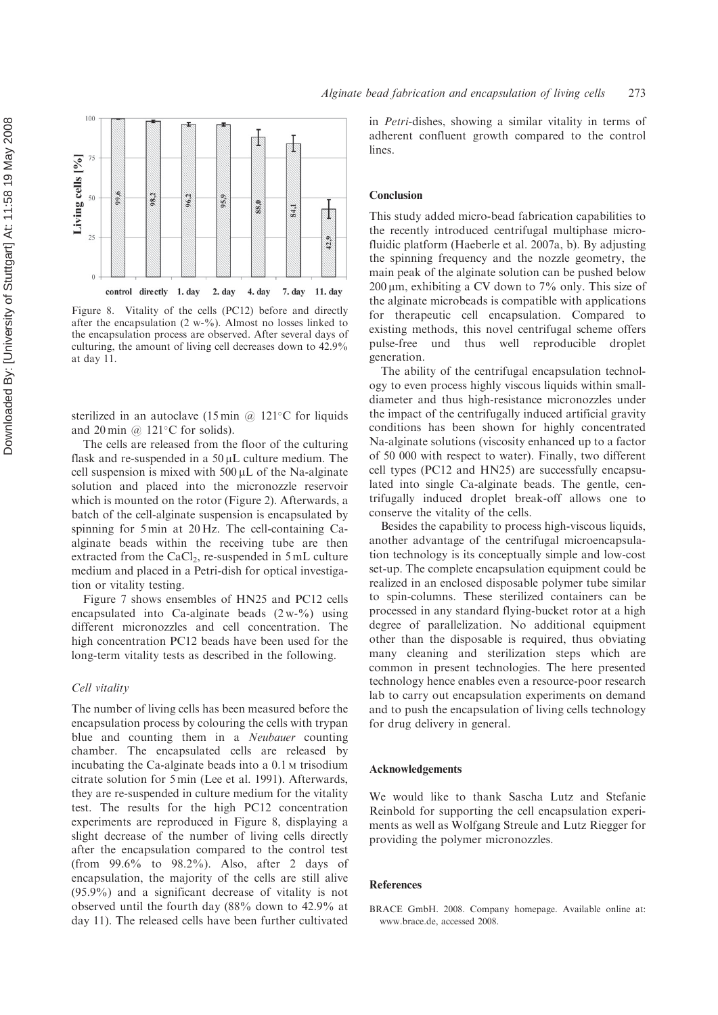100 **I** 4 Living cells [%] 75 9.66  $38.2$  $96.2$  $95,9$ 88.0 84.1 S. 25 42.9  $\overline{0}$ control directly 1. day 2. day 4. day 7. day 11. day

Figure 8. Vitality of the cells (PC12) before and directly after the encapsulation (2 w-%). Almost no losses linked to the encapsulation process are observed. After several days of culturing, the amount of living cell decreases down to 42.9% at day 11.

sterilized in an autoclave (15 min @ 121 °C for liquids and 20 min @ 121 C for solids).

The cells are released from the floor of the culturing flask and re-suspended in a  $50 \mu L$  culture medium. The cell suspension is mixed with  $500 \mu L$  of the Na-alginate solution and placed into the micronozzle reservoir which is mounted on the rotor (Figure 2). Afterwards, a batch of the cell-alginate suspension is encapsulated by spinning for 5 min at 20 Hz. The cell-containing Caalginate beads within the receiving tube are then extracted from the CaCl 2, re-suspended in 5 mL culture medium and placed in a Petri-dish for optical investigation or vitality testing.

Figure 7 shows ensembles of HN25 and PC12 cells encapsulated into Ca-alginate beads  $(2 w<sup>-9</sup>')$  using different micronozzles and cell concentration. The high concentration PC12 beads have been used for the long-term vitality tests as described in the following.

## Cell vitality

The number of living cells has been measured before the encapsulation process by colouring the cells with trypan blue and counting them in a Neubauer counting chamber. The encapsulated cells are released by incubating the Ca-alginate beads into a 0.1 <sup>M</sup> trisodium citrate solution for 5 min (Lee et al. 1991). Afterwards, they are re-suspended in culture medium for the vitality test. The results for the high PC12 concentration experiments are reproduced in Figure 8, displaying a slight decrease of the number of living cells directly after the encapsulation compared to the control test (from 99.6% to 98.2%). Also, after 2 days of encapsulation, the majority of the cells are still alive (95.9%) and a significant decrease of vitality is not observed until the fourth day (88% down to 42.9% at day 11). The released cells have been further cultivated

in Petri-dishes, showing a similar vitality in terms of adherent confluent growth compared to the control lines.

#### Conclusion

This study added micro-bead fabrication capabilities to the recently introduced centrifugal multiphase microfluidic platform (Haeberle et al. 2007a, b). By adjusting the spinning frequency and the nozzle geometry, the main peak of the alginate solution can be pushed below 200 mm, exhibiting a CV down to 7% only. This size of the alginate microbeads is compatible with applications for therapeutic cell encapsulation. Compared to existing methods, this novel centrifugal scheme offers pulse-free und thus well reproducible droplet generation.

The ability of the centrifugal encapsulation technology to even process highly viscous liquids within smalldiameter and thus high-resistance micronozzles under the impact of the centrifugally induced artificial gravity conditions has been shown for highly concentrated Na-alginate solutions (viscosity enhanced up to a factor of 50 000 with respect to water). Finally, two different cell types (PC12 and HN25) are successfully encapsulated into single Ca-alginate beads. The gentle, centrifugally induced droplet break-off allows one to conserve the vitality of the cells.

Besides the capability to process high-viscous liquids, another advantage of the centrifugal microencapsulation technology is its conceptually simple and low-cost set-up. The complete encapsulation equipment could be realized in an enclosed disposable polymer tube similar to spin-columns. These sterilized containers can be processed in any standard flying-bucket rotor at a high degree of parallelization. No additional equipment other than the disposable is required, thus obviating many cleaning and sterilization steps which are common in present technologies. The here presented technology hence enables even a resource-poor research lab to carry out encapsulation experiments on demand and to push the encapsulation of living cells technology for drug delivery in general.

## Acknowledgements

We would like to thank Sascha Lutz and Stefanie Reinbold for supporting the cell encapsulation experiments as well as Wolfgang Streule and Lutz Riegger for providing the polymer micronozzles.

## References

BRACE GmbH. 2008. Company homepage. Available online at: www.brace.de, accessed 2008.